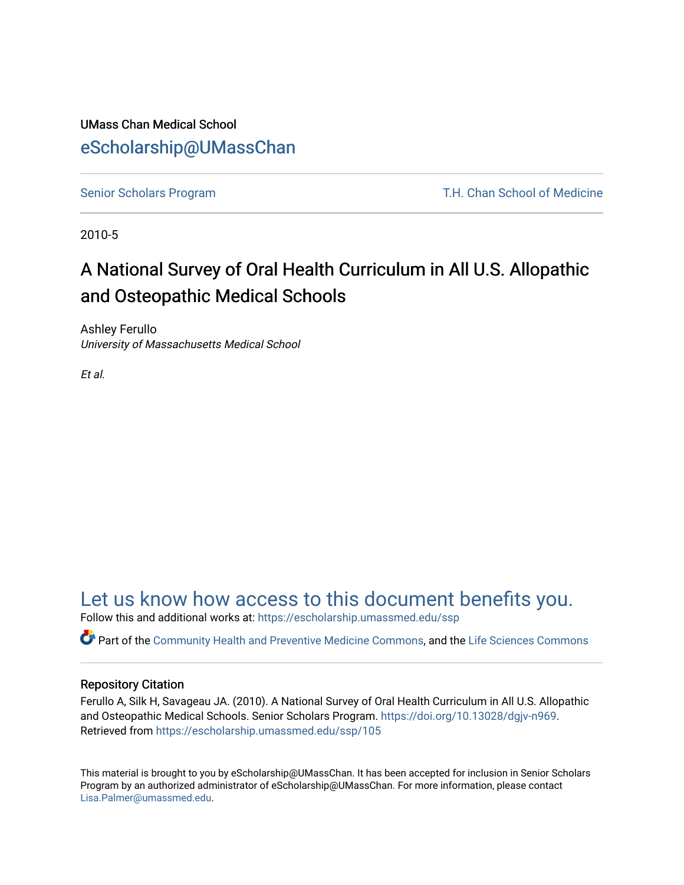#### UMass Chan Medical School [eScholarship@UMassChan](https://escholarship.umassmed.edu/)

[Senior Scholars Program](https://escholarship.umassmed.edu/ssp) T.H. Chan School of Medicine

2010-5

#### A National Survey of Oral Health Curriculum in All U.S. Allopathic and Osteopathic Medical Schools

Ashley Ferullo University of Massachusetts Medical School

Et al.

#### [Let us know how access to this document benefits you.](https://arcsapps.umassmed.edu/redcap/surveys/?s=XWRHNF9EJE)

Follow this and additional works at: [https://escholarship.umassmed.edu/ssp](https://escholarship.umassmed.edu/ssp?utm_source=escholarship.umassmed.edu%2Fssp%2F105&utm_medium=PDF&utm_campaign=PDFCoverPages) 

Part of the [Community Health and Preventive Medicine Commons](http://network.bepress.com/hgg/discipline/744?utm_source=escholarship.umassmed.edu%2Fssp%2F105&utm_medium=PDF&utm_campaign=PDFCoverPages), and the [Life Sciences Commons](http://network.bepress.com/hgg/discipline/1016?utm_source=escholarship.umassmed.edu%2Fssp%2F105&utm_medium=PDF&utm_campaign=PDFCoverPages) 

#### Repository Citation

Ferullo A, Silk H, Savageau JA. (2010). A National Survey of Oral Health Curriculum in All U.S. Allopathic and Osteopathic Medical Schools. Senior Scholars Program.<https://doi.org/10.13028/dgjv-n969>. Retrieved from [https://escholarship.umassmed.edu/ssp/105](https://escholarship.umassmed.edu/ssp/105?utm_source=escholarship.umassmed.edu%2Fssp%2F105&utm_medium=PDF&utm_campaign=PDFCoverPages)

This material is brought to you by eScholarship@UMassChan. It has been accepted for inclusion in Senior Scholars Program by an authorized administrator of eScholarship@UMassChan. For more information, please contact [Lisa.Palmer@umassmed.edu](mailto:Lisa.Palmer@umassmed.edu).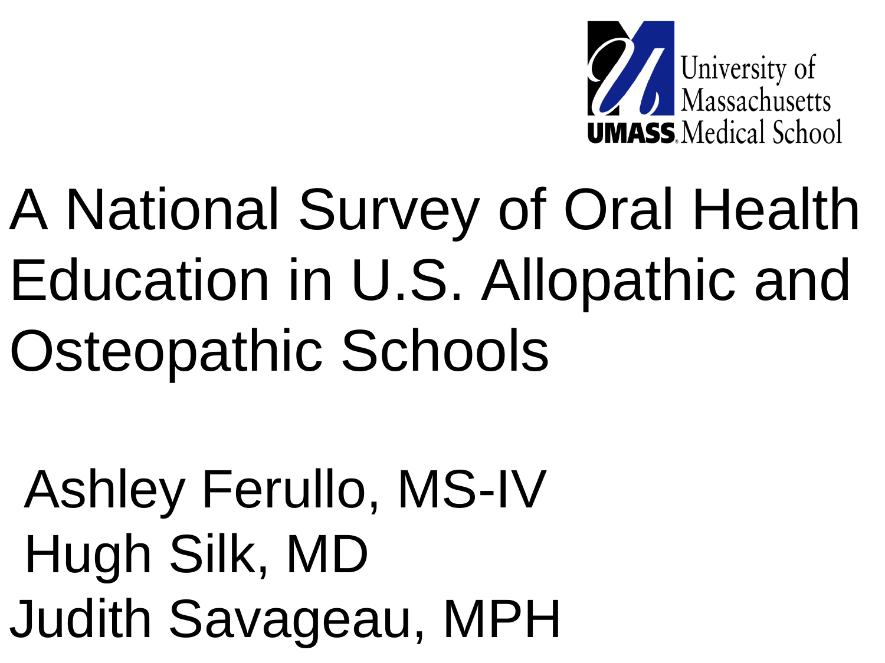

# A National Survey of Oral Health Education in U.S. Allopathic and Osteopathic Schools

Ashley Ferullo, MS-IV Hugh Silk, MD Judith Savageau, MPH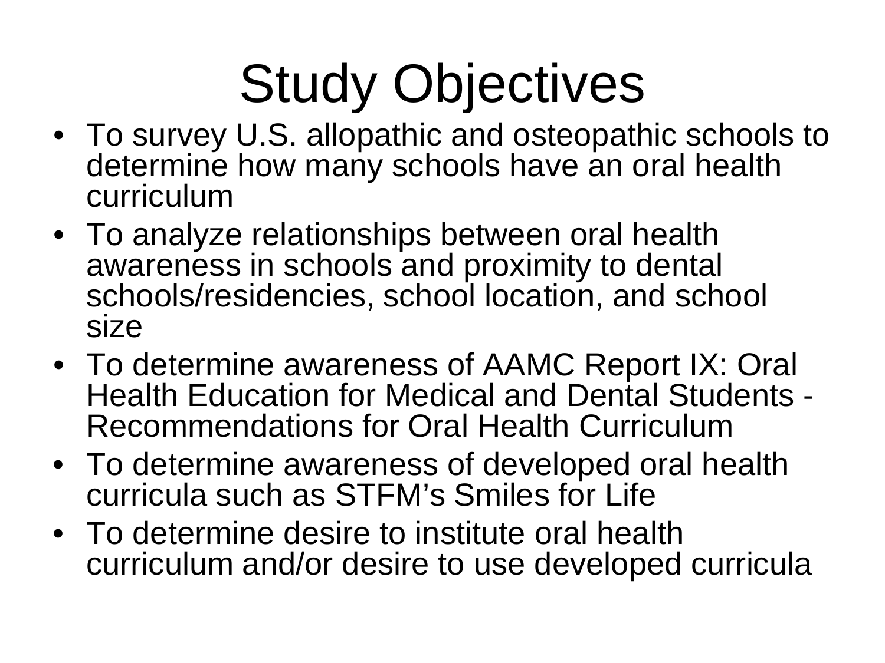## Study Objectives

- To survey U.S. allopathic and osteopathic schools to determine how many schools have an oral health curriculum
- To analyze relationships between oral health awareness in schools and proximity to dental schools/residencies, school location, and school size
- To determine awareness of AAMC Report IX: Oral Health Education for Medical and Dental Students - Recommendations for Oral Health Curriculum
- To determine awareness of developed oral health curricula such as STFM's Smiles for Life
- To determine desire to institute oral health curriculum and/or desire to use developed curricula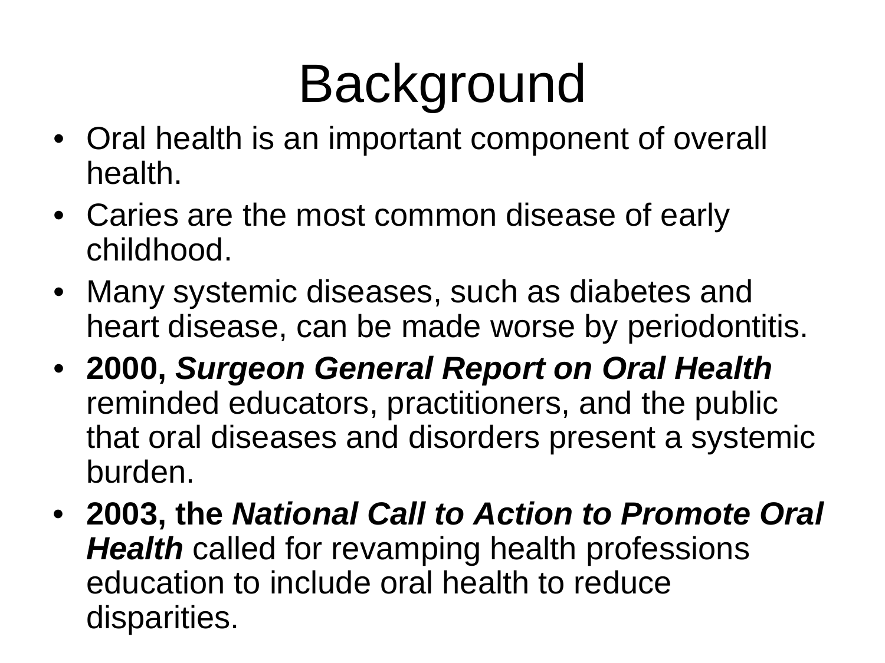## Background

- Oral health is an important component of overall health.
- Caries are the most common disease of early childhood.
- Many systemic diseases, such as diabetes and heart disease, can be made worse by periodontitis.
- **2000,** *Surgeon General Report on Oral Health*  reminded educators, practitioners, and the public that oral diseases and disorders present a systemic burden.
- **2003, the** *National Call to Action to Promote Oral Health* called for revamping health professions education to include oral health to reduce disparities.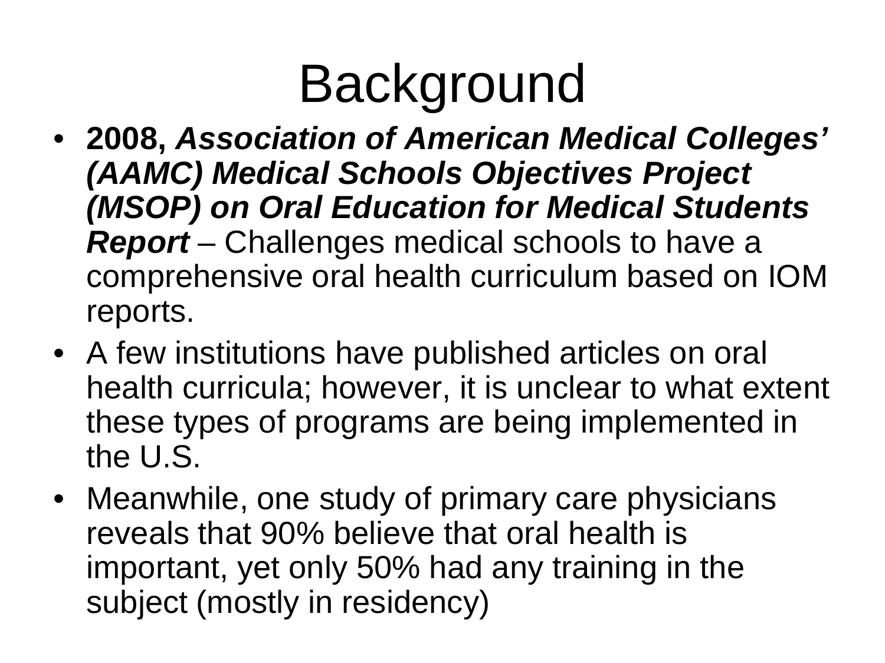### Background

- **2008,** *Association of American Medical Colleges' (AAMC) Medical Schools Objectives Project (MSOP) on Oral Education for Medical Students Report* – Challenges medical schools to have a comprehensive oral health curriculum based on IOM reports.
- A few institutions have published articles on oral health curricula; however, it is unclear to what extent these types of programs are being implemented in the U.S.
- Meanwhile, one study of primary care physicians reveals that 90% believe that oral health is important, yet only 50% had any training in the subject (mostly in residency)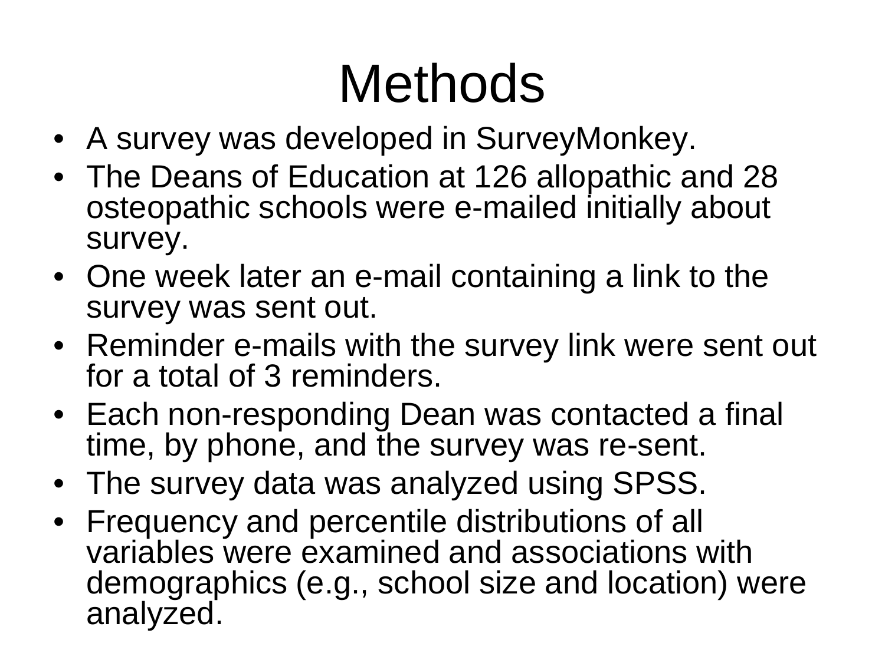## Methods

- A survey was developed in SurveyMonkey.
- The Deans of Education at 126 allopathic and 28 osteopathic schools were e-mailed initially about survey.
- One week later an e-mail containing a link to the survey was sent out.
- Reminder e-mails with the survey link were sent out for a total of 3 reminders.
- Each non-responding Dean was contacted a final time, by phone, and the survey was re-sent.
- The survey data was analyzed using SPSS.
- Frequency and percentile distributions of all variables were examined and associations with demographics (e.g., school size and location) were analyzed.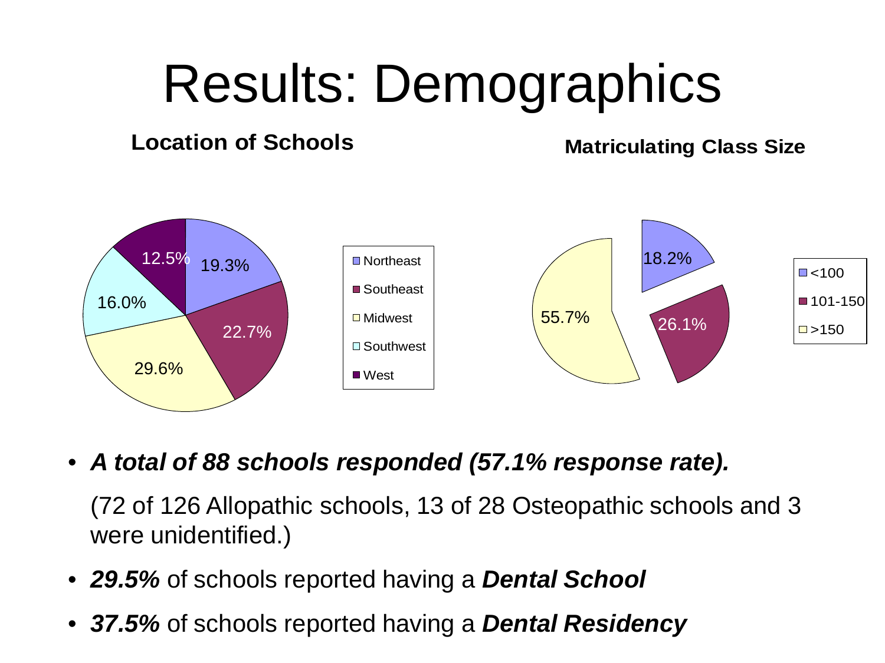### Results: Demographics

#### **Location of Schools**

**Matriculating Class Size**



• *A total of 88 schools responded (57.1% response rate).*

(72 of 126 Allopathic schools, 13 of 28 Osteopathic schools and 3 were unidentified.)

- *29.5%* of schools reported having a *Dental School*
- *37.5%* of schools reported having a *Dental Residency*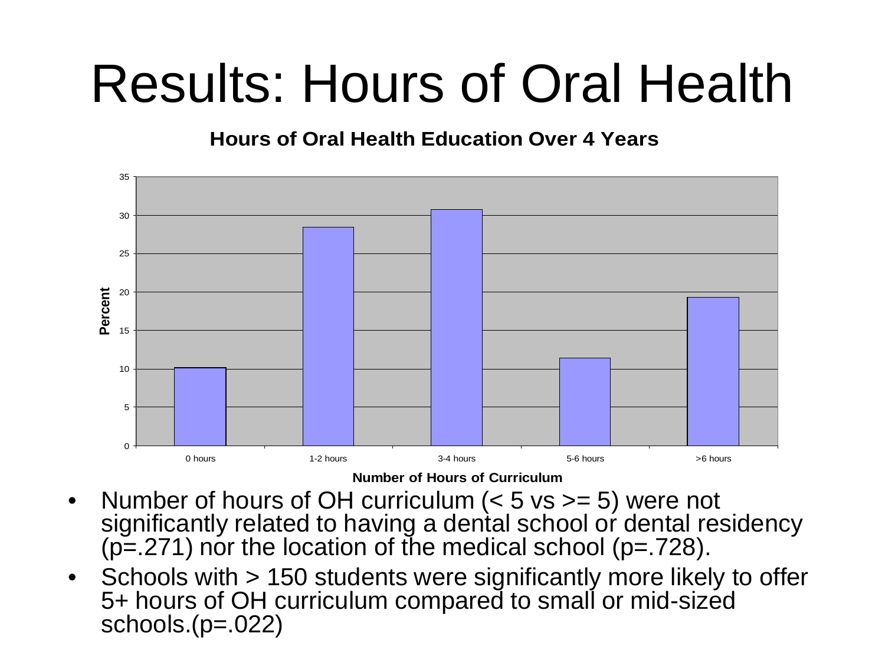### Results: Hours of Oral Health

#### **Hours of Oral Health Education Over 4 Years**



**Number of Hours of Curriculum**

- Number of hours of OH curriculum  $(< 5$  vs  $>= 5$ ) were not significantly related to having a dental school or dental residency  $(p=271)$  nor the location of the medical school  $(p=.728)$ .
- Schools with > 150 students were significantly more likely to offer 5+ hours of OH curriculum compared to small or mid-sized schools. $(p=022)$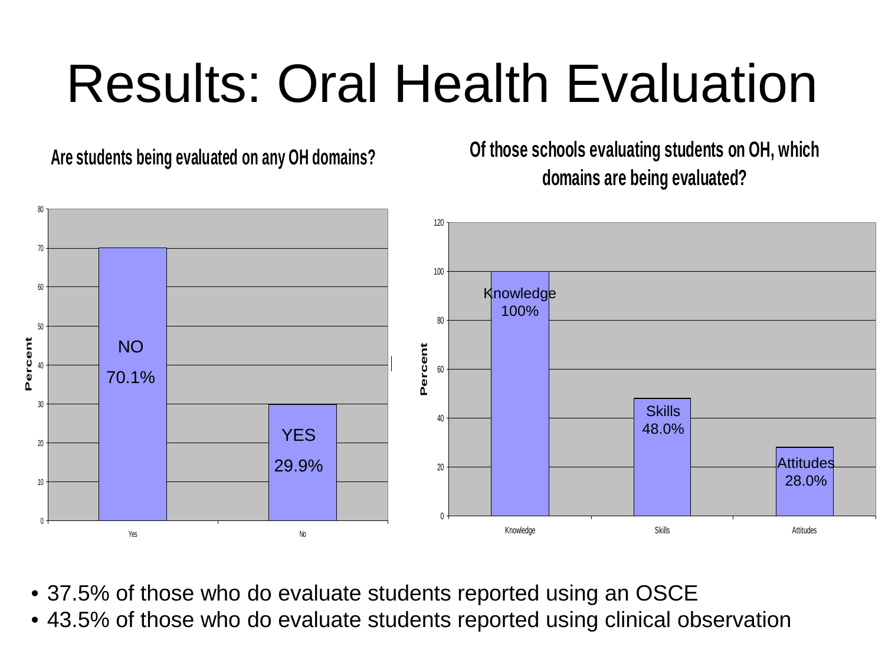## Results: Oral Health Evaluation

**Are students being evaluated on any OH domains?**

**Of those schools evaluating students on OH, which domains are being evaluated?**



- 37.5% of those who do evaluate students reported using an OSCE
- 43.5% of those who do evaluate students reported using clinical observation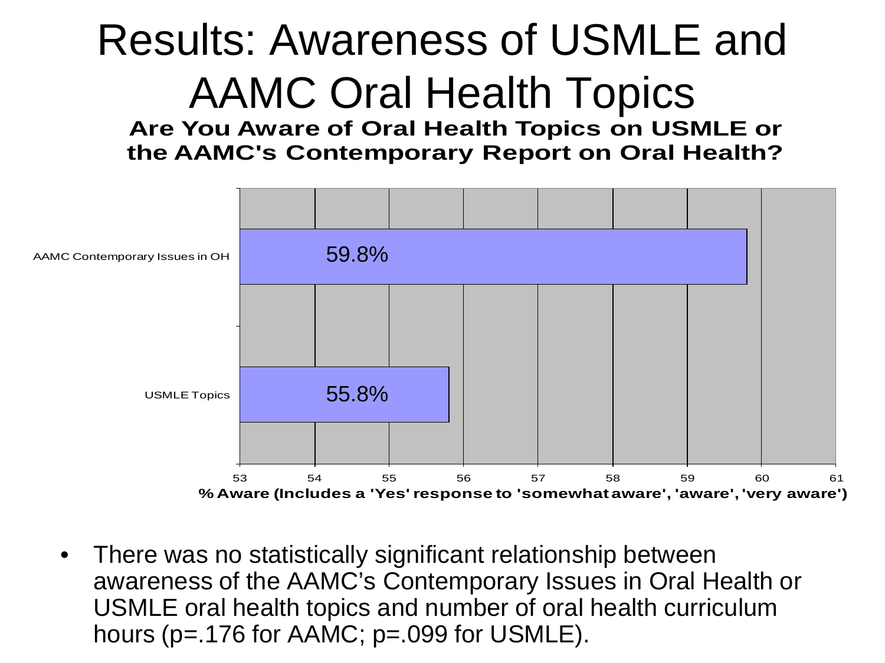#### Results: Awareness of USMLE and AAMC Oral Health Topics

**Are You Aware of Oral Health Topics on USMLE or the AAMC's Contemporary Report on Oral Health?**



• There was no statistically significant relationship between awareness of the AAMC's Contemporary Issues in Oral Health or USMLE oral health topics and number of oral health curriculum hours (p=.176 for AAMC; p=.099 for USMLE).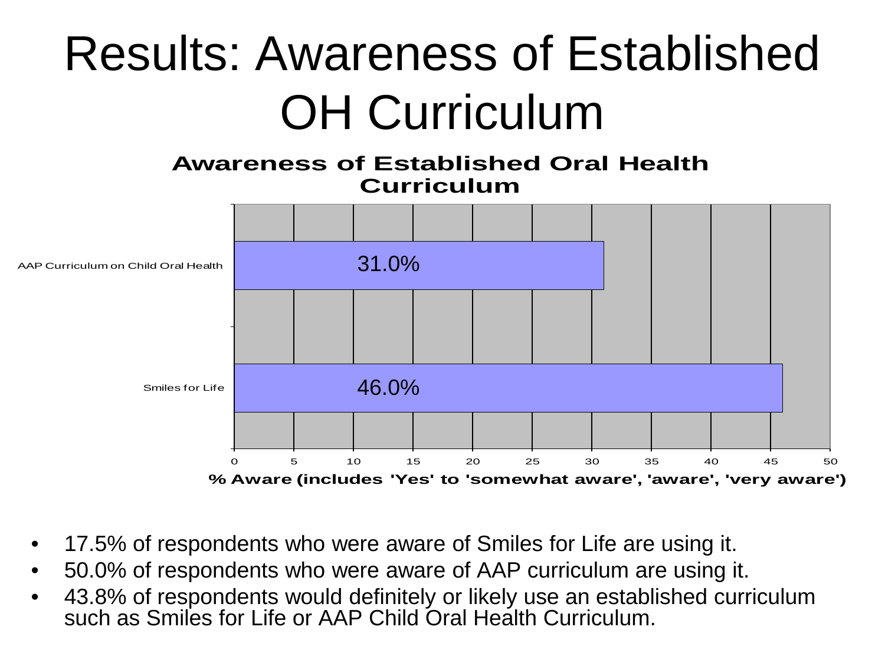#### Results: Awareness of Established OH Curriculum

#### **Awareness of Established Oral Health Curriculum**



- 17.5% of respondents who were aware of Smiles for Life are using it.
- 50.0% of respondents who were aware of AAP curriculum are using it.
- 43.8% of respondents would definitely or likely use an established curriculum such as Smiles for Life or AAP Child Oral Health Curriculum.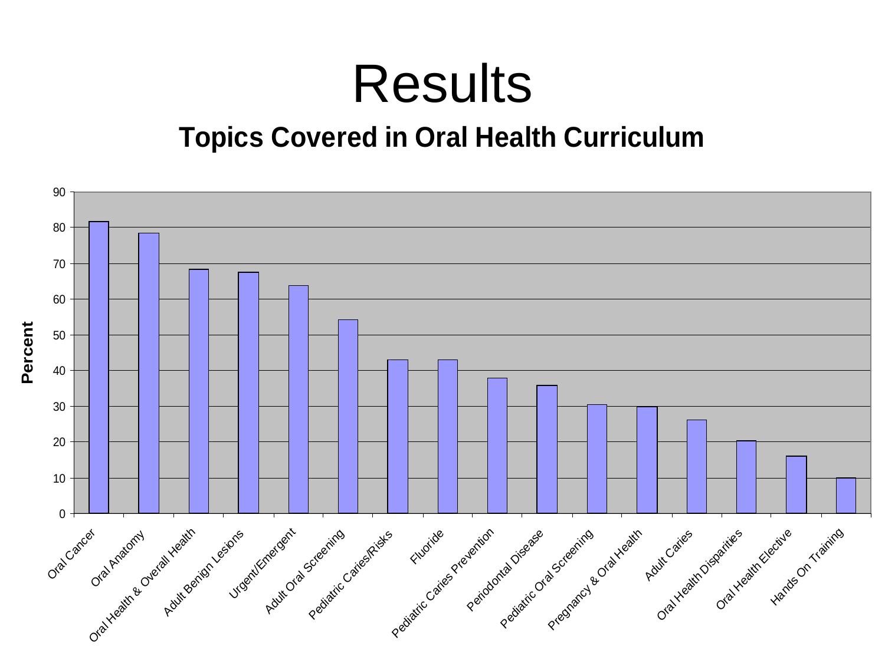#### Results

#### **Topics Covered in Oral Health Curriculum**

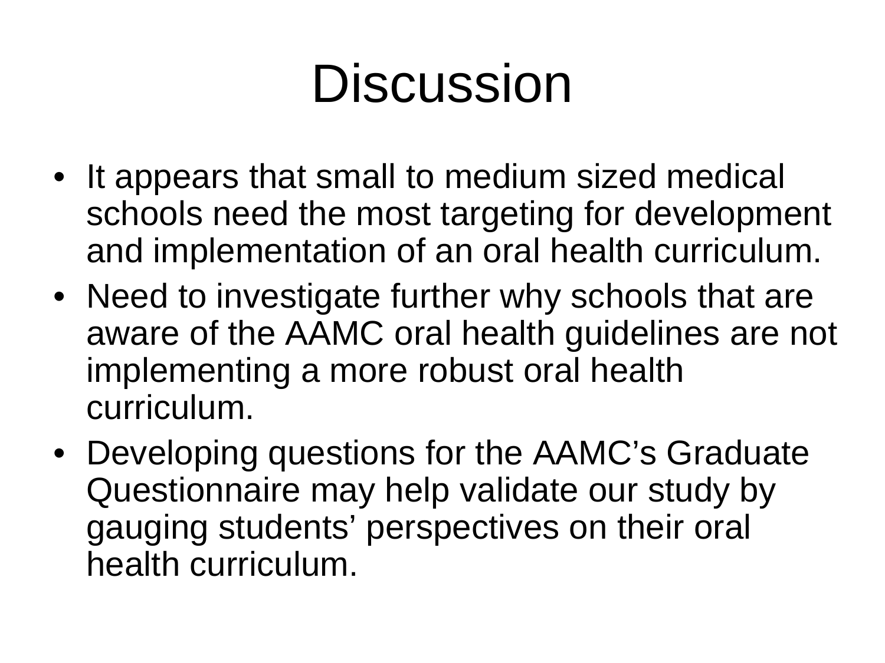### **Discussion**

- It appears that small to medium sized medical schools need the most targeting for development and implementation of an oral health curriculum.
- Need to investigate further why schools that are aware of the AAMC oral health guidelines are not implementing a more robust oral health curriculum.
- Developing questions for the AAMC's Graduate Questionnaire may help validate our study by gauging students' perspectives on their oral health curriculum.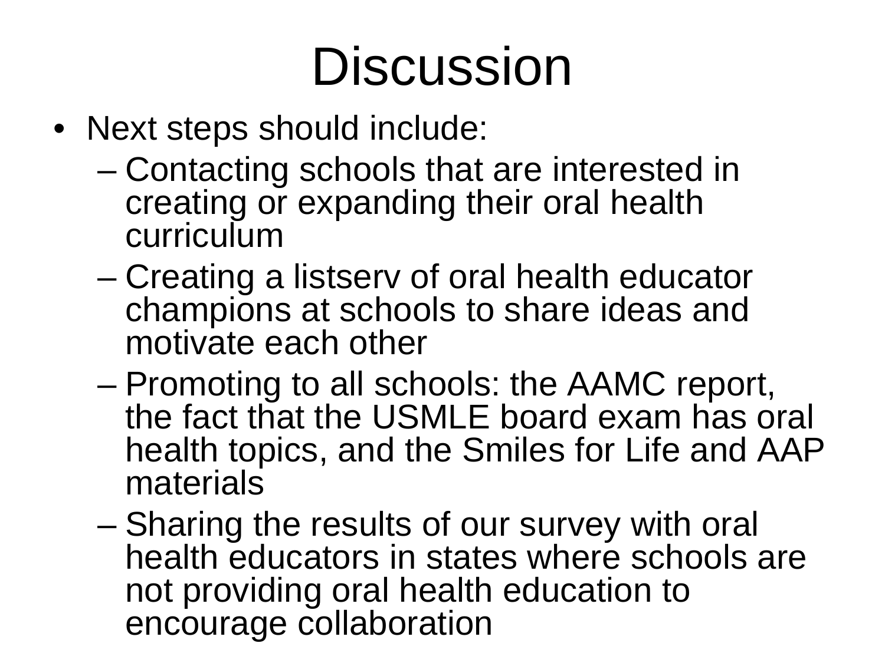### **Discussion**

- Next steps should include:
	- Contacting schools that are interested in creating or expanding their oral health curriculum
	- Creating a listserv of oral health educator champions at schools to share ideas and motivate each other
	- Promoting to all schools: the AAMC report, the fact that the USMLE board exam has oral health topics, and the Smiles for Life and AAP materials
	- Sharing the results of our survey with oral health educators in states where schools are not providing oral health education to encourage collaboration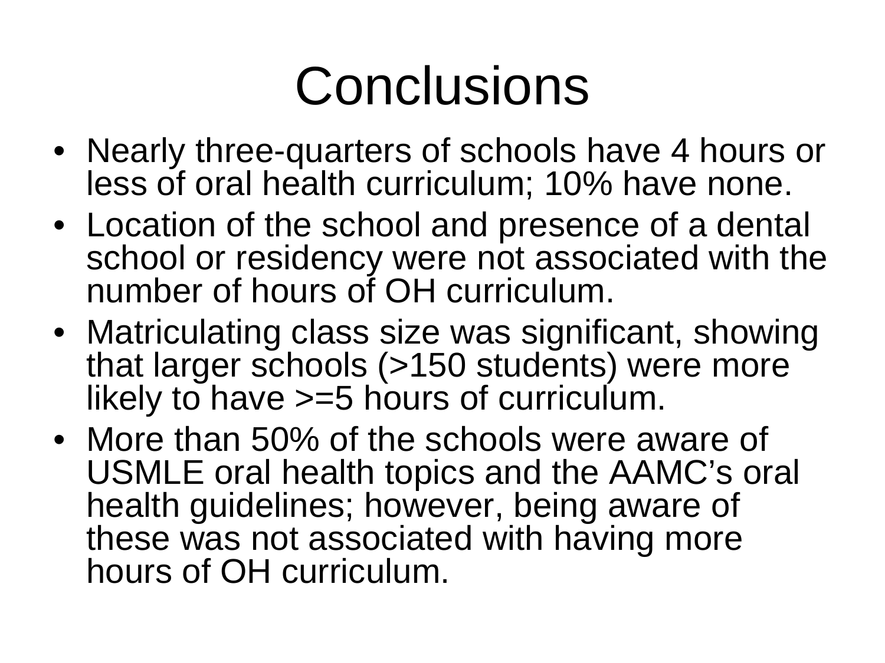### **Conclusions**

- Nearly three-quarters of schools have 4 hours or less of oral health curriculum; 10% have none.
- Location of the school and presence of a dental school or residency were not associated with the number of hours of OH curriculum.
- Matriculating class size was significant, showing that larger schools (>150 students) were more likely to have >=5 hours of curriculum.
- More than 50% of the schools were aware of USMLE oral health topics and the AAMC's oral health guidelines; however, being aware of these was not associated with having more hours of OH curriculum.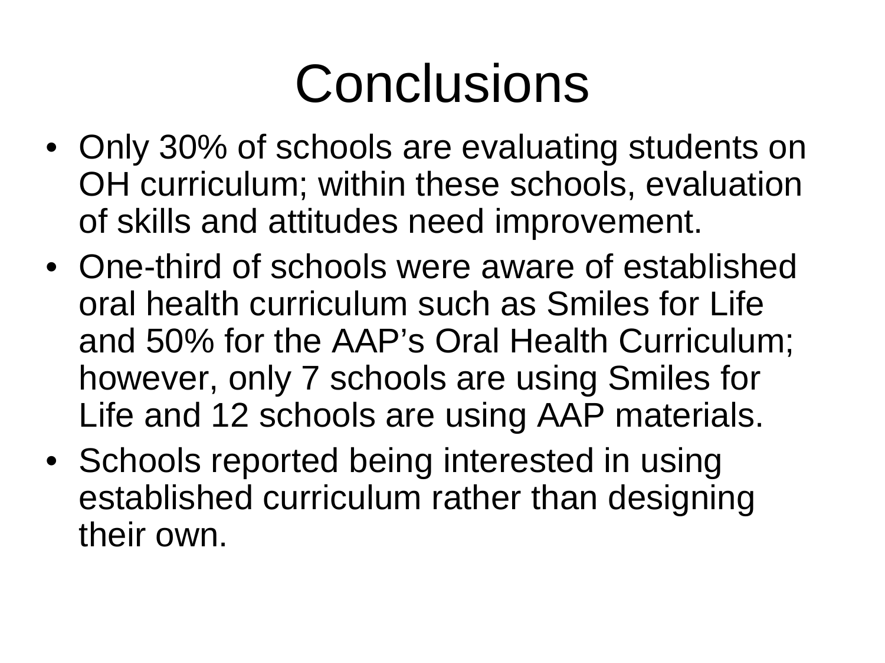### **Conclusions**

- Only 30% of schools are evaluating students on OH curriculum; within these schools, evaluation of skills and attitudes need improvement.
- One-third of schools were aware of established oral health curriculum such as Smiles for Life and 50% for the AAP's Oral Health Curriculum; however, only 7 schools are using Smiles for Life and 12 schools are using AAP materials.
- Schools reported being interested in using established curriculum rather than designing their own.